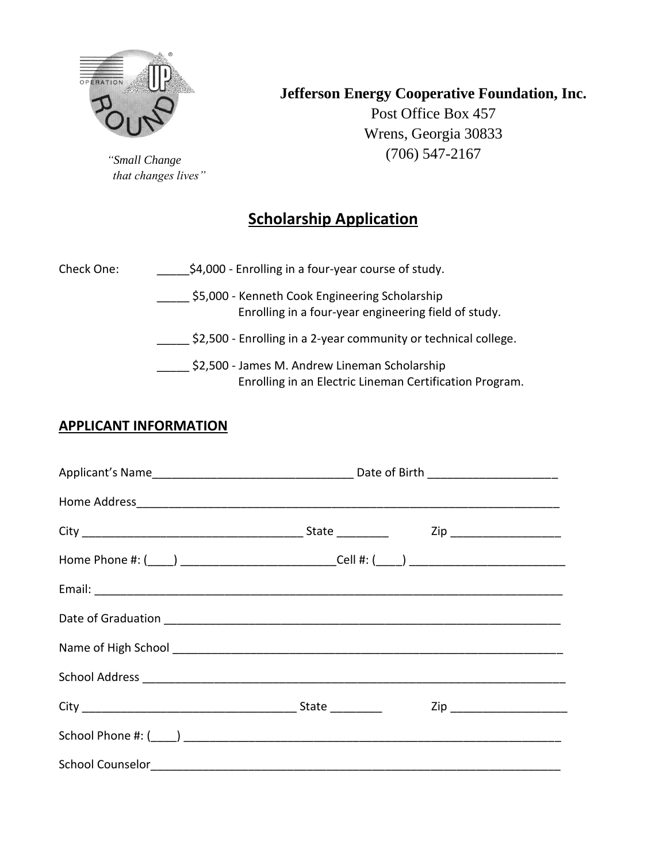

*"Small Change that changes lives"* **Jefferson Energy Cooperative Foundation, Inc.**

Post Office Box 457 Wrens, Georgia 30833 (706) 547-2167

# **Scholarship Application**

| Check One: | \$4,000 - Enrolling in a four-year course of study.                                                      |
|------------|----------------------------------------------------------------------------------------------------------|
|            | \$5,000 - Kenneth Cook Engineering Scholarship<br>Enrolling in a four-year engineering field of study.   |
|            | \$2,500 - Enrolling in a 2-year community or technical college.                                          |
|            | \$2,500 - James M. Andrew Lineman Scholarship<br>Enrolling in an Electric Lineman Certification Program. |

## **APPLICANT INFORMATION**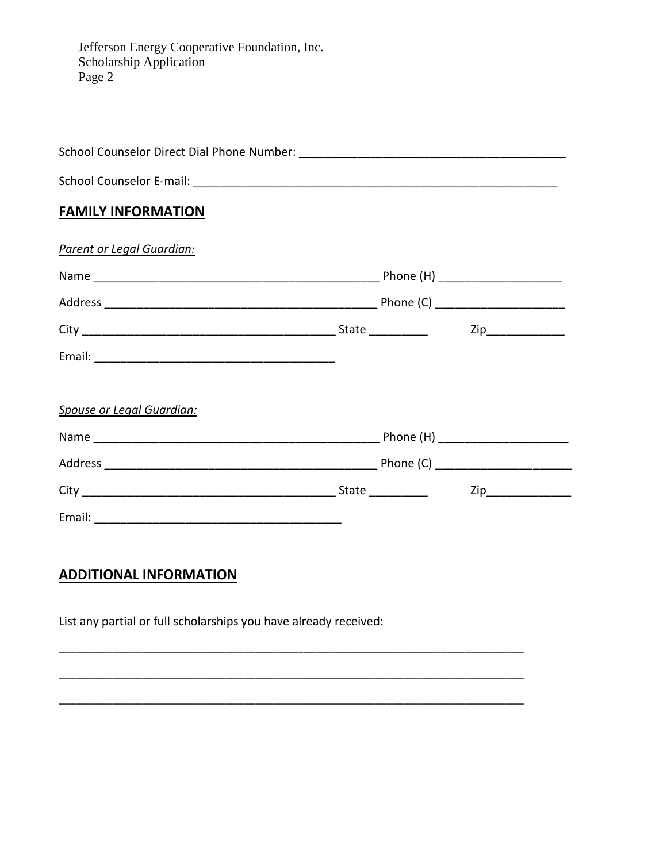Jefferson Energy Cooperative Foundation, Inc.<br>Scholarship Application Page 2

| <b>FAMILY INFORMATION</b>        |  |  |
|----------------------------------|--|--|
| Parent or Legal Guardian:        |  |  |
|                                  |  |  |
|                                  |  |  |
|                                  |  |  |
|                                  |  |  |
| <b>Spouse or Legal Guardian:</b> |  |  |
|                                  |  |  |
|                                  |  |  |
|                                  |  |  |
|                                  |  |  |

## **ADDITIONAL INFORMATION**

List any partial or full scholarships you have already received: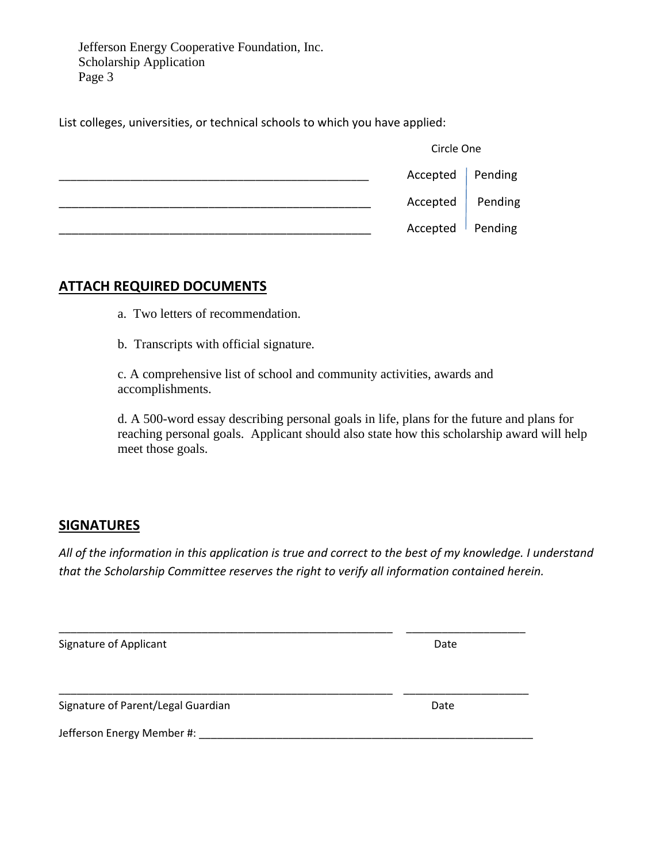Jefferson Energy Cooperative Foundation, Inc. Scholarship Application Page 3

List colleges, universities, or technical schools to which you have applied:

| Circle One         |  |
|--------------------|--|
| Accepted   Pending |  |
| Accepted Pending   |  |
| Accepted Pending   |  |

### **ATTACH REQUIRED DOCUMENTS**

a. Two letters of recommendation.

b. Transcripts with official signature.

c. A comprehensive list of school and community activities, awards and accomplishments.

d. A 500-word essay describing personal goals in life, plans for the future and plans for reaching personal goals. Applicant should also state how this scholarship award will help meet those goals.

#### **SIGNATURES**

*All of the information in this application is true and correct to the best of my knowledge. I understand that the Scholarship Committee reserves the right to verify all information contained herein.*

| Signature of Applicant             | Date |
|------------------------------------|------|
|                                    |      |
| Signature of Parent/Legal Guardian | Date |
| Jefferson Energy Member #:         |      |